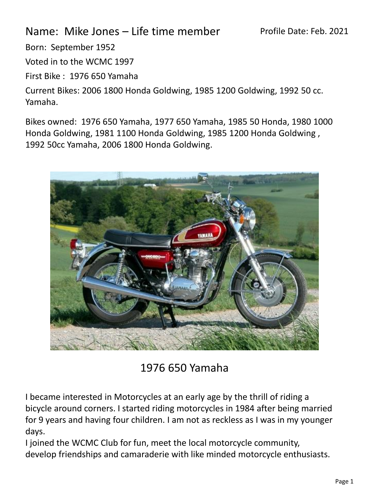## Name: Mike Jones – Life time member

Born: September 1952

Voted in to the WCMC 1997

First Bike : 1976 650 Yamaha

Current Bikes: 2006 1800 Honda Goldwing, 1985 1200 Goldwing, 1992 50 cc. Yamaha.

Bikes owned: 1976 650 Yamaha, 1977 650 Yamaha, 1985 50 Honda, 1980 1000 Honda Goldwing, 1981 1100 Honda Goldwing, 1985 1200 Honda Goldwing , 1992 50cc Yamaha, 2006 1800 Honda Goldwing.



1976 650 Yamaha

I became interested in Motorcycles at an early age by the thrill of riding a bicycle around corners. I started riding motorcycles in 1984 after being married for 9 years and having four children. I am not as reckless as I was in my younger days.

I joined the WCMC Club for fun, meet the local motorcycle community, develop friendships and camaraderie with like minded motorcycle enthusiasts.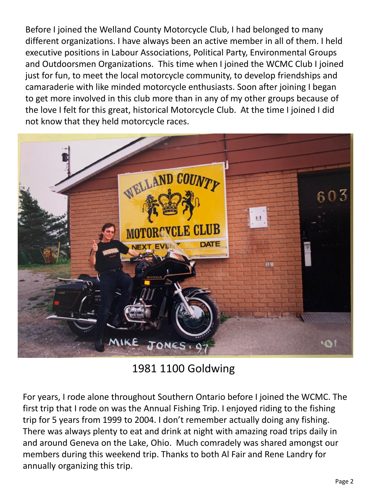Before I joined the Welland County Motorcycle Club, I had belonged to many different organizations. I have always been an active member in all of them. I held executive positions in Labour Associations, Political Party, Environmental Groups and Outdoorsmen Organizations. This time when I joined the WCMC Club I joined just for fun, to meet the local motorcycle community, to develop friendships and camaraderie with like minded motorcycle enthusiasts. Soon after joining I began to get more involved in this club more than in any of my other groups because of the love I felt for this great, historical Motorcycle Club. At the time I joined I did not know that they held motorcycle races.



1981 1100 Goldwing

For years, I rode alone throughout Southern Ontario before I joined the WCMC. The first trip that I rode on was the Annual Fishing Trip. I enjoyed riding to the fishing trip for 5 years from 1999 to 2004. I don't remember actually doing any fishing. There was always plenty to eat and drink at night with amazing road trips daily in and around Geneva on the Lake, Ohio. Much comradely was shared amongst our members during this weekend trip. Thanks to both Al Fair and Rene Landry for annually organizing this trip.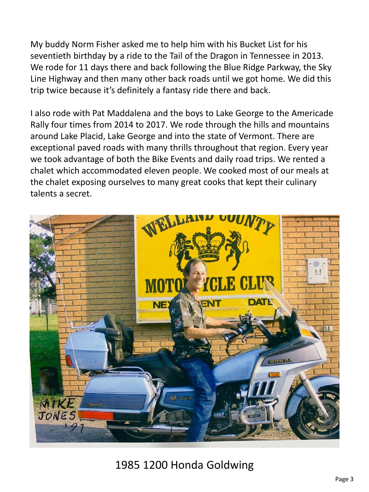My buddy Norm Fisher asked me to help him with his Bucket List for his seventieth birthday by a ride to the Tail of the Dragon in Tennessee in 2013. We rode for 11 days there and back following the Blue Ridge Parkway, the Sky Line Highway and then many other back roads until we got home. We did this trip twice because it's definitely a fantasy ride there and back.

I also rode with Pat Maddalena and the boys to Lake George to the Americade Rally four times from 2014 to 2017. We rode through the hills and mountains around Lake Placid, Lake George and into the state of Vermont. There are exceptional paved roads with many thrills throughout that region. Every year we took advantage of both the Bike Events and daily road trips. We rented a chalet which accommodated eleven people. We cooked most of our meals at the chalet exposing ourselves to many great cooks that kept their culinary talents a secret.



1985 1200 Honda Goldwing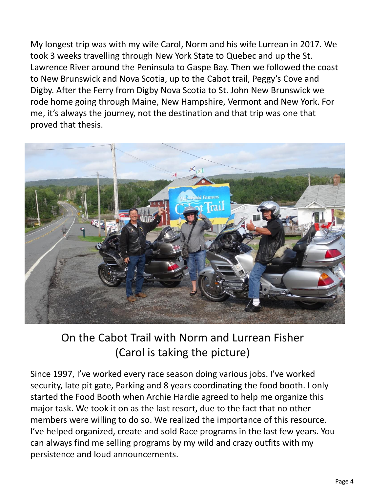My longest trip was with my wife Carol, Norm and his wife Lurrean in 2017. We took 3 weeks travelling through New York State to Quebec and up the St. Lawrence River around the Peninsula to Gaspe Bay. Then we followed the coast to New Brunswick and Nova Scotia, up to the Cabot trail, Peggy's Cove and Digby. After the Ferry from Digby Nova Scotia to St. John New Brunswick we rode home going through Maine, New Hampshire, Vermont and New York. For me, it's always the journey, not the destination and that trip was one that proved that thesis.



## On the Cabot Trail with Norm and Lurrean Fisher (Carol is taking the picture)

Since 1997, I've worked every race season doing various jobs. I've worked security, late pit gate, Parking and 8 years coordinating the food booth. I only started the Food Booth when Archie Hardie agreed to help me organize this major task. We took it on as the last resort, due to the fact that no other members were willing to do so. We realized the importance of this resource. I've helped organized, create and sold Race programs in the last few years. You can always find me selling programs by my wild and crazy outfits with my persistence and loud announcements.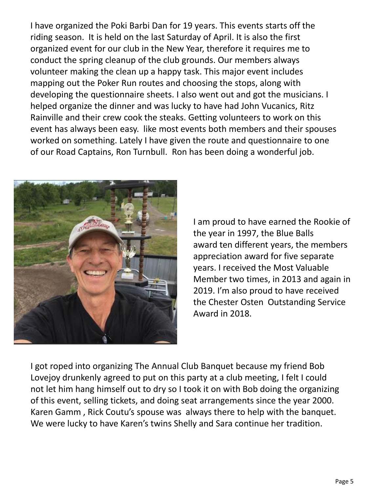I have organized the Poki Barbi Dan for 19 years. This events starts off the riding season. It is held on the last Saturday of April. It is also the first organized event for our club in the New Year, therefore it requires me to conduct the spring cleanup of the club grounds. Our members always volunteer making the clean up a happy task. This major event includes mapping out the Poker Run routes and choosing the stops, along with developing the questionnaire sheets. I also went out and got the musicians. I helped organize the dinner and was lucky to have had John Vucanics, Ritz Rainville and their crew cook the steaks. Getting volunteers to work on this event has always been easy. like most events both members and their spouses worked on something. Lately I have given the route and questionnaire to one of our Road Captains, Ron Turnbull. Ron has been doing a wonderful job.



I am proud to have earned the Rookie of the year in 1997, the Blue Balls award ten different years, the members appreciation award for five separate years. I received the Most Valuable Member two times, in 2013 and again in 2019. I'm also proud to have received the Chester Osten Outstanding Service Award in 2018.

I got roped into organizing The Annual Club Banquet because my friend Bob Lovejoy drunkenly agreed to put on this party at a club meeting, I felt I could not let him hang himself out to dry so I took it on with Bob doing the organizing of this event, selling tickets, and doing seat arrangements since the year 2000. Karen Gamm , Rick Coutu's spouse was always there to help with the banquet. We were lucky to have Karen's twins Shelly and Sara continue her tradition.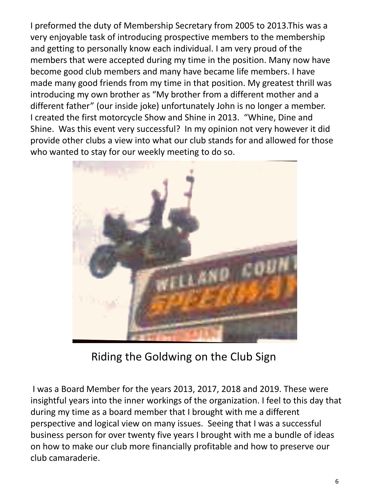I preformed the duty of Membership Secretary from 2005 to 2013.This was a very enjoyable task of introducing prospective members to the membership and getting to personally know each individual. I am very proud of the members that were accepted during my time in the position. Many now have become good club members and many have became life members. I have made many good friends from my time in that position. My greatest thrill was introducing my own brother as "My brother from a different mother and a different father" (our inside joke) unfortunately John is no longer a member. I created the first motorcycle Show and Shine in 2013. "Whine, Dine and Shine. Was this event very successful? In my opinion not very however it did provide other clubs a view into what our club stands for and allowed for those who wanted to stay for our weekly meeting to do so.



Riding the Goldwing on the Club Sign

I was a Board Member for the years 2013, 2017, 2018 and 2019. These were insightful years into the inner workings of the organization. I feel to this day that during my time as a board member that I brought with me a different perspective and logical view on many issues. Seeing that I was a successful business person for over twenty five years I brought with me a bundle of ideas on how to make our club more financially profitable and how to preserve our club camaraderie.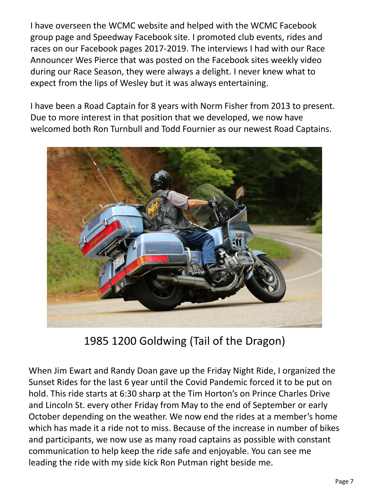I have overseen the WCMC website and helped with the WCMC Facebook group page and Speedway Facebook site. I promoted club events, rides and races on our Facebook pages 2017-2019. The interviews I had with our Race Announcer Wes Pierce that was posted on the Facebook sites weekly video during our Race Season, they were always a delight. I never knew what to expect from the lips of Wesley but it was always entertaining.

I have been a Road Captain for 8 years with Norm Fisher from 2013 to present. Due to more interest in that position that we developed, we now have welcomed both Ron Turnbull and Todd Fournier as our newest Road Captains.



1985 1200 Goldwing (Tail of the Dragon)

When Jim Ewart and Randy Doan gave up the Friday Night Ride, I organized the Sunset Rides for the last 6 year until the Covid Pandemic forced it to be put on hold. This ride starts at 6:30 sharp at the Tim Horton's on Prince Charles Drive and Lincoln St. every other Friday from May to the end of September or early October depending on the weather. We now end the rides at a member's home which has made it a ride not to miss. Because of the increase in number of bikes and participants, we now use as many road captains as possible with constant communication to help keep the ride safe and enjoyable. You can see me leading the ride with my side kick Ron Putman right beside me.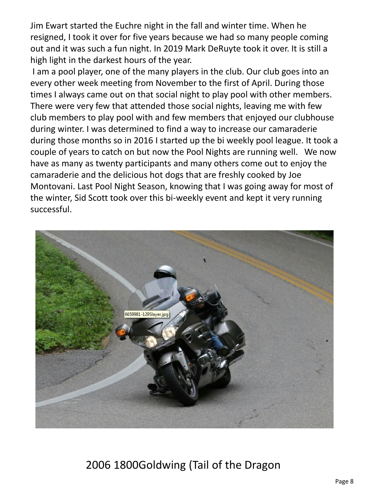Jim Ewart started the Euchre night in the fall and winter time. When he resigned, I took it over for five years because we had so many people coming out and it was such a fun night. In 2019 Mark DeRuyte took it over. It is still a high light in the darkest hours of the year.

I am a pool player, one of the many players in the club. Our club goes into an every other week meeting from November to the first of April. During those times I always came out on that social night to play pool with other members. There were very few that attended those social nights, leaving me with few club members to play pool with and few members that enjoyed our clubhouse during winter. I was determined to find a way to increase our camaraderie during those months so in 2016 I started up the bi weekly pool league. It took a couple of years to catch on but now the Pool Nights are running well. We now have as many as twenty participants and many others come out to enjoy the camaraderie and the delicious hot dogs that are freshly cooked by Joe Montovani. Last Pool Night Season, knowing that I was going away for most of the winter, Sid Scott took over this bi-weekly event and kept it very running successful.



## 2006 1800Goldwing (Tail of the Dragon